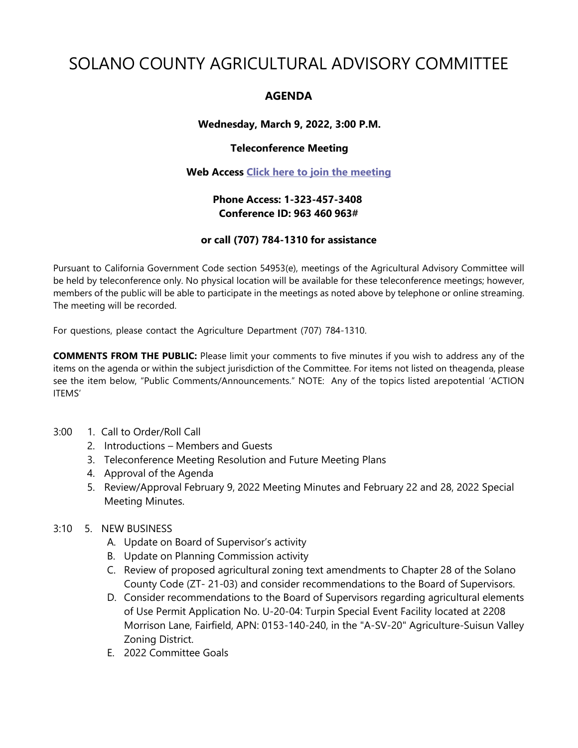# SOLANO COUNTY AGRICULTURAL ADVISORY COMMITTEE

# **AGENDA**

# **Wednesday, March 9, 2022, 3:00 P.M.**

## **Teleconference Meeting**

#### **Web Access [Click here to join the meeting](https://teams.microsoft.com/l/meetup-join/19%3ameeting_OTdmNTEwZGUtODk3Ny00YTVhLTk2YzgtNzZkMDgwNmU4ZjE0%40thread.v2/0?context=%7b%22Tid%22%3a%225e7f20ac-e5f1-4f83-8c3b-ce44b8486421%22%2c%22Oid%22%3a%229b7e0b10-9feb-4114-92ef-db737a66fd13%22%7d)**

# **Phone Access: 1-323-457-3408 Conference ID: 963 460 963#**

## **or call (707) 784-1310 for assistance**

Pursuant to California Government Code section 54953(e), meetings of the Agricultural Advisory Committee will be held by teleconference only. No physical location will be available for these teleconference meetings; however, members of the public will be able to participate in the meetings as noted above by telephone or online streaming. The meeting will be recorded.

For questions, please contact the Agriculture Department (707) 784-1310.

**COMMENTS FROM THE PUBLIC:** Please limit your comments to five minutes if you wish to address any of the items on the agenda or within the subject jurisdiction of the Committee. For items not listed on theagenda, please see the item below, "Public Comments/Announcements." NOTE: Any of the topics listed arepotential 'ACTION ITEMS'

- 3:00 1. Call to Order/Roll Call
	- 2. Introductions Members and Guests
	- 3. Teleconference Meeting Resolution and Future Meeting Plans
	- 4. Approval of the Agenda
	- 5. Review/Approval February 9, 2022 Meeting Minutes and February 22 and 28, 2022 Special Meeting Minutes.
- 3:10 5. NEW BUSINESS
	- A. Update on Board of Supervisor's activity
	- B. Update on Planning Commission activity
	- C. Review of proposed agricultural zoning text amendments to Chapter 28 of the Solano County Code (ZT- 21-03) and consider recommendations to the Board of Supervisors.
	- D. Consider recommendations to the Board of Supervisors regarding agricultural elements of Use Permit Application No. U-20-04: Turpin Special Event Facility located at 2208 Morrison Lane, Fairfield, APN: 0153-140-240, in the "A-SV-20" Agriculture-Suisun Valley Zoning District.
	- E. 2022 Committee Goals